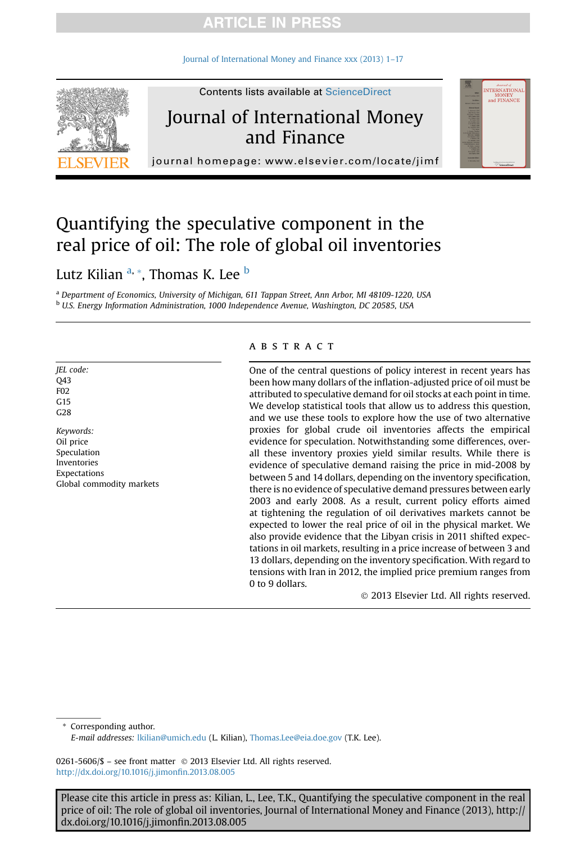### **ARTICLE IN PRESS**

[Journal of International Money and Finance xxx \(2013\) 1](http://dx.doi.org/10.1016/j.jimonfin.2013.08.005)–17



# Quantifying the speculative component in the real price of oil: The role of global oil inventories

## Lutz Kilian  $a, *$ , Thomas K. Lee  $b$

<sup>a</sup> Department of Economics, University of Michigan, 611 Tappan Street, Ann Arbor, MI 48109-1220, USA <sup>b</sup> U.S. Energy Information Administration, 1000 Independence Avenue, Washington, DC 20585, USA

 $043$ F02  $G15$ G28 Keywords: Oil price Speculation Inventories Expectations Global commodity markets

JEL code:

#### **ABSTRACT**

One of the central questions of policy interest in recent years has been how many dollars of the inflation-adjusted price of oil must be attributed to speculative demand for oil stocks at each point in time. We develop statistical tools that allow us to address this question, and we use these tools to explore how the use of two alternative proxies for global crude oil inventories affects the empirical evidence for speculation. Notwithstanding some differences, overall these inventory proxies yield similar results. While there is evidence of speculative demand raising the price in mid-2008 by between 5 and 14 dollars, depending on the inventory specification, there is no evidence of speculative demand pressures between early 2003 and early 2008. As a result, current policy efforts aimed at tightening the regulation of oil derivatives markets cannot be expected to lower the real price of oil in the physical market. We also provide evidence that the Libyan crisis in 2011 shifted expectations in oil markets, resulting in a price increase of between 3 and 13 dollars, depending on the inventory specification. With regard to tensions with Iran in 2012, the implied price premium ranges from 0 to 9 dollars.

2013 Elsevier Ltd. All rights reserved.

\* Corresponding author.

E-mail addresses: [lkilian@umich.edu](mailto:lkilian@umich.edu) (L. Kilian), [Thomas.Lee@eia.doe.gov](mailto:Thomas.Lee@eia.doe.gov) (T.K. Lee).

0261-5606/\$ - see front matter © 2013 Elsevier Ltd. All rights reserved. [http://dx.doi.org/10.1016/j.jimon](http://dx.doi.org/10.1016/j.jimonfin.2013.08.005)fin.2013.08.005

Please cite this article in press as: Kilian, L., Lee, T.K., Quantifying the speculative component in the real price of oil: The role of global oil inventories, Journal of International Money and Finance (2013), http:// dx.doi.org/10.1016/j.jimonfin.2013.08.005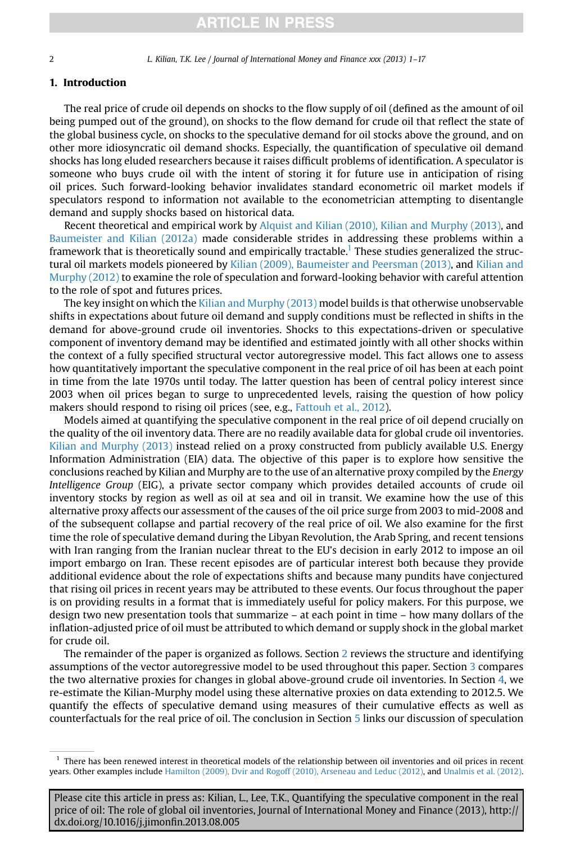### **ARTICLE IN PRESS**

2 L. Kilian, T.K. Lee / Journal of International Money and Finance xxx (2013) 1–17

#### 1. Introduction

The real price of crude oil depends on shocks to the flow supply of oil (defined as the amount of oil being pumped out of the ground), on shocks to the flow demand for crude oil that reflect the state of the global business cycle, on shocks to the speculative demand for oil stocks above the ground, and on other more idiosyncratic oil demand shocks. Especially, the quantification of speculative oil demand shocks has long eluded researchers because it raises difficult problems of identification. A speculator is someone who buys crude oil with the intent of storing it for future use in anticipation of rising oil prices. Such forward-looking behavior invalidates standard econometric oil market models if speculators respond to information not available to the econometrician attempting to disentangle demand and supply shocks based on historical data.

Recent theoretical and empirical work by [Alquist and Kilian \(2010\), Kilian and Murphy \(2013\)](#page--1-0), and [Baumeister and Kilian \(2012a\)](#page--1-0) made considerable strides in addressing these problems within a framework that is theoretically sound and empirically tractable.<sup>1</sup> These studies generalized the structural oil markets models pioneered by [Kilian \(2009\), Baumeister and Peersman \(2013\),](#page--1-0) and [Kilian and](#page--1-0) [Murphy \(2012\)](#page--1-0) to examine the role of speculation and forward-looking behavior with careful attention to the role of spot and futures prices.

The key insight on which the [Kilian and Murphy \(2013\)](#page--1-0) model builds is that otherwise unobservable shifts in expectations about future oil demand and supply conditions must be reflected in shifts in the demand for above-ground crude oil inventories. Shocks to this expectations-driven or speculative component of inventory demand may be identified and estimated jointly with all other shocks within the context of a fully specified structural vector autoregressive model. This fact allows one to assess how quantitatively important the speculative component in the real price of oil has been at each point in time from the late 1970s until today. The latter question has been of central policy interest since 2003 when oil prices began to surge to unprecedented levels, raising the question of how policy makers should respond to rising oil prices (see, e.g., [Fattouh et al., 2012\)](#page--1-0).

Models aimed at quantifying the speculative component in the real price of oil depend crucially on the quality of the oil inventory data. There are no readily available data for global crude oil inventories. [Kilian and Murphy \(2013\)](#page--1-0) instead relied on a proxy constructed from publicly available U.S. Energy Information Administration (EIA) data. The objective of this paper is to explore how sensitive the conclusions reached by Kilian and Murphy are to the use of an alternative proxy compiled by the Energy Intelligence Group (EIG), a private sector company which provides detailed accounts of crude oil inventory stocks by region as well as oil at sea and oil in transit. We examine how the use of this alternative proxy affects our assessment of the causes of the oil price surge from 2003 to mid-2008 and of the subsequent collapse and partial recovery of the real price of oil. We also examine for the first time the role of speculative demand during the Libyan Revolution, the Arab Spring, and recent tensions with Iran ranging from the Iranian nuclear threat to the EU's decision in early 2012 to impose an oil import embargo on Iran. These recent episodes are of particular interest both because they provide additional evidence about the role of expectations shifts and because many pundits have conjectured that rising oil prices in recent years may be attributed to these events. Our focus throughout the paper is on providing results in a format that is immediately useful for policy makers. For this purpose, we design two new presentation tools that summarize – at each point in time – how many dollars of the inflation-adjusted price of oil must be attributed to which demand or supply shock in the global market for crude oil.

The remainder of the paper is organized as follows. Section [2](#page--1-0) reviews the structure and identifying assumptions of the vector autoregressive model to be used throughout this paper. Section [3](#page--1-0) compares the two alternative proxies for changes in global above-ground crude oil inventories. In Section [4,](#page--1-0) we re-estimate the Kilian-Murphy model using these alternative proxies on data extending to 2012.5. We quantify the effects of speculative demand using measures of their cumulative effects as well as counterfactuals for the real price of oil. The conclusion in Section [5](#page--1-0) links our discussion of speculation

 $<sup>1</sup>$  There has been renewed interest in theoretical models of the relationship between oil inventories and oil prices in recent</sup> years. Other examples include [Hamilton \(2009\), Dvir and Rogoff \(2010\), Arseneau and Leduc \(2012\)](#page--1-0), and [Unalmis et al. \(2012\).](#page--1-0)

Please cite this article in press as: Kilian, L., Lee, T.K., Quantifying the speculative component in the real price of oil: The role of global oil inventories, Journal of International Money and Finance (2013), http:// dx.doi.org/10.1016/j.jimonfin.2013.08.005